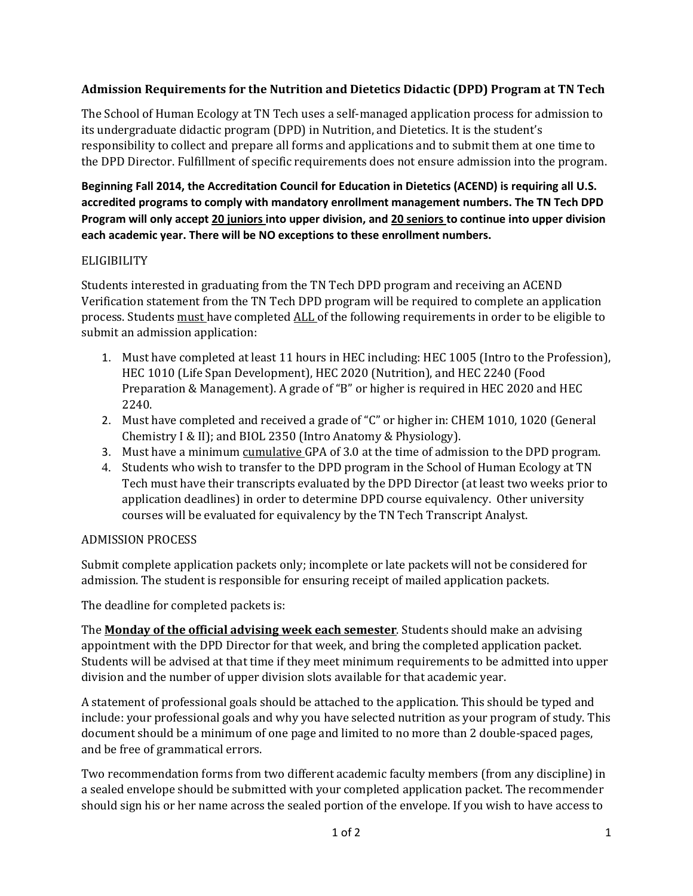## **Admission Requirements for the Nutrition and Dietetics Didactic (DPD) Program at TN Tech**

The School of Human Ecology at TN Tech uses a self-managed application process for admission to its undergraduate didactic program (DPD) in Nutrition, and Dietetics. It is the student's responsibility to collect and prepare all forms and applications and to submit them at one time to the DPD Director. Fulfillment of specific requirements does not ensure admission into the program.

**Beginning Fall 2014, the Accreditation Council for Education in Dietetics (ACEND) is requiring all U.S. accredited programs to comply with mandatory enrollment management numbers. The TN Tech DPD Program will only accept 20 juniors into upper division, and 20 seniors to continue into upper division each academic year. There will be NO exceptions to these enrollment numbers.** 

### ELIGIBILITY

Students interested in graduating from the TN Tech DPD program and receiving an ACEND Verification statement from the TN Tech DPD program will be required to complete an application process. Students must have completed ALL of the following requirements in order to be eligible to submit an admission application:

- 1. Must have completed at least 11 hours in HEC including: HEC 1005 (Intro to the Profession), HEC 1010 (Life Span Development), HEC 2020 (Nutrition), and HEC 2240 (Food Preparation & Management). A grade of "B" or higher is required in HEC 2020 and HEC 2240.
- 2. Must have completed and received a grade of "C" or higher in: CHEM 1010, 1020 (General Chemistry I & II); and BIOL 2350 (Intro Anatomy & Physiology).
- 3. Must have a minimum cumulative GPA of 3.0 at the time of admission to the DPD program.
- 4. Students who wish to transfer to the DPD program in the School of Human Ecology at TN Tech must have their transcripts evaluated by the DPD Director (at least two weeks prior to application deadlines) in order to determine DPD course equivalency. Other university courses will be evaluated for equivalency by the TN Tech Transcript Analyst.

# ADMISSION PROCESS

Submit complete application packets only; incomplete or late packets will not be considered for admission. The student is responsible for ensuring receipt of mailed application packets.

The deadline for completed packets is:

The **Monday of the official advising week each semester**. Students should make an advising appointment with the DPD Director for that week, and bring the completed application packet. Students will be advised at that time if they meet minimum requirements to be admitted into upper division and the number of upper division slots available for that academic year.

A statement of professional goals should be attached to the application. This should be typed and include: your professional goals and why you have selected nutrition as your program of study. This document should be a minimum of one page and limited to no more than 2 double-spaced pages, and be free of grammatical errors.

Two recommendation forms from two different academic faculty members (from any discipline) in a sealed envelope should be submitted with your completed application packet. The recommender should sign his or her name across the sealed portion of the envelope. If you wish to have access to